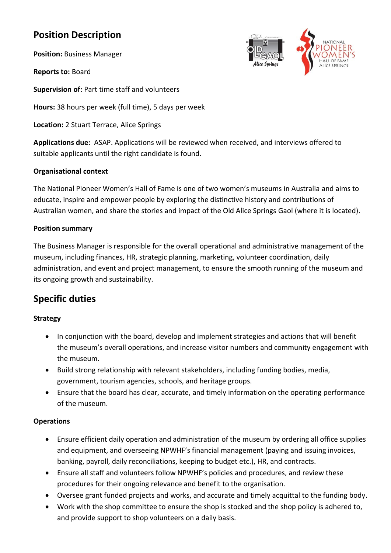# **Position Description**

**Position:** Business Manager

**Reports to:** Board

**Supervision of:** Part time staff and volunteers

**Hours:** 38 hours per week (full time), 5 days per week

**Location:** 2 Stuart Terrace, Alice Springs

**Applications due:** ASAP. Applications will be reviewed when received, and interviews offered to suitable applicants until the right candidate is found.

#### **Organisational context**

The National Pioneer Women's Hall of Fame is one of two women's museums in Australia and aims to educate, inspire and empower people by exploring the distinctive history and contributions of Australian women, and share the stories and impact of the Old Alice Springs Gaol (where it is located).

#### **Position summary**

The Business Manager is responsible for the overall operational and administrative management of the museum, including finances, HR, strategic planning, marketing, volunteer coordination, daily administration, and event and project management, to ensure the smooth running of the museum and its ongoing growth and sustainability.

# **Specific duties**

## **Strategy**

- In conjunction with the board, develop and implement strategies and actions that will benefit the museum's overall operations, and increase visitor numbers and community engagement with the museum.
- Build strong relationship with relevant stakeholders, including funding bodies, media, government, tourism agencies, schools, and heritage groups.
- Ensure that the board has clear, accurate, and timely information on the operating performance of the museum.

#### **Operations**

- Ensure efficient daily operation and administration of the museum by ordering all office supplies and equipment, and overseeing NPWHF's financial management (paying and issuing invoices, banking, payroll, daily reconciliations, keeping to budget etc.), HR, and contracts.
- Ensure all staff and volunteers follow NPWHF's policies and procedures, and review these procedures for their ongoing relevance and benefit to the organisation.
- Oversee grant funded projects and works, and accurate and timely acquittal to the funding body.
- Work with the shop committee to ensure the shop is stocked and the shop policy is adhered to, and provide support to shop volunteers on a daily basis.

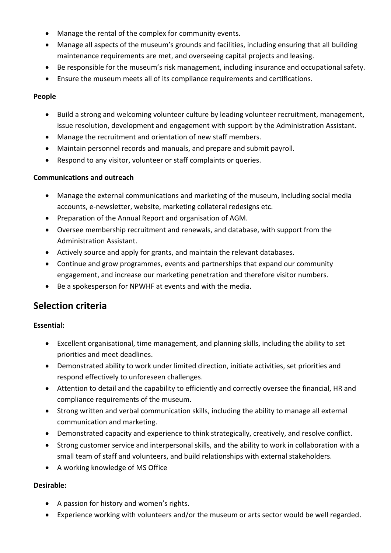- Manage the rental of the complex for community events.
- Manage all aspects of the museum's grounds and facilities, including ensuring that all building maintenance requirements are met, and overseeing capital projects and leasing.
- Be responsible for the museum's risk management, including insurance and occupational safety.
- Ensure the museum meets all of its compliance requirements and certifications.

#### **People**

- Build a strong and welcoming volunteer culture by leading volunteer recruitment, management, issue resolution, development and engagement with support by the Administration Assistant.
- Manage the recruitment and orientation of new staff members.
- Maintain personnel records and manuals, and prepare and submit payroll.
- Respond to any visitor, volunteer or staff complaints or queries.

#### **Communications and outreach**

- Manage the external communications and marketing of the museum, including social media accounts, e-newsletter, website, marketing collateral redesigns etc.
- Preparation of the Annual Report and organisation of AGM.
- Oversee membership recruitment and renewals, and database, with support from the Administration Assistant.
- Actively source and apply for grants, and maintain the relevant databases.
- Continue and grow programmes, events and partnerships that expand our community engagement, and increase our marketing penetration and therefore visitor numbers.
- Be a spokesperson for NPWHF at events and with the media.

# **Selection criteria**

## **Essential:**

- Excellent organisational, time management, and planning skills, including the ability to set priorities and meet deadlines.
- Demonstrated ability to work under limited direction, initiate activities, set priorities and respond effectively to unforeseen challenges.
- Attention to detail and the capability to efficiently and correctly oversee the financial, HR and compliance requirements of the museum.
- Strong written and verbal communication skills, including the ability to manage all external communication and marketing.
- Demonstrated capacity and experience to think strategically, creatively, and resolve conflict.
- Strong customer service and interpersonal skills, and the ability to work in collaboration with a small team of staff and volunteers, and build relationships with external stakeholders.
- A working knowledge of MS Office

## **Desirable:**

- A passion for history and women's rights.
- Experience working with volunteers and/or the museum or arts sector would be well regarded.